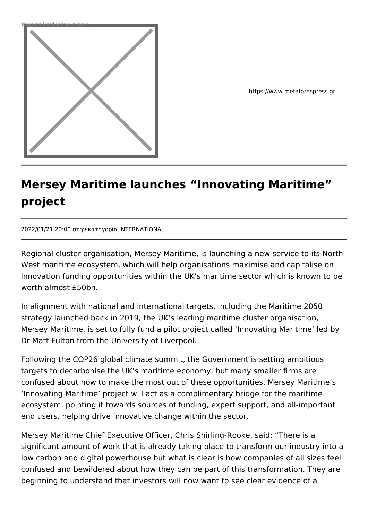

https://www.metaforespress.gr

## **Mersey Maritime launches "Innovating Maritime" project**

2022/01/21 20:00 στην κατηγορία INTERNATIONAL

Regional cluster organisation, Mersey Maritime, is launching a new service to its North West maritime ecosystem, which will help organisations maximise and capitalise on innovation funding opportunities within the UK's maritime sector which is known to be worth almost £50bn.

In alignment with national and international targets, including the Maritime 2050 strategy launched back in 2019, the UK's leading maritime cluster organisation, Mersey Maritime, is set to fully fund a pilot project called 'Innovating Maritime' led by Dr Matt Fulton from the University of Liverpool.

Following the COP26 global climate summit, the Government is setting ambitious targets to decarbonise the UK's maritime economy, but many smaller firms are confused about how to make the most out of these opportunities. Mersey Maritime's 'Innovating Maritime' project will act as a complimentary bridge for the maritime ecosystem, pointing it towards sources of funding, expert support, and all-important end users, helping drive innovative change within the sector.

Mersey Maritime Chief Executive Officer, Chris Shirling-Rooke, said: "There is a significant amount of work that is already taking place to transform our industry into a low carbon and digital powerhouse but what is clear is how companies of all sizes feel confused and bewildered about how they can be part of this transformation. They are beginning to understand that investors will now want to see clear evidence of a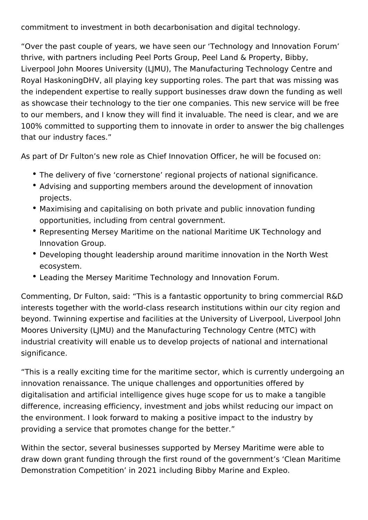commitment to investment in both decarbonisation and digital technology.

"Over the past couple of years, we have seen our 'Technology and Innovation Forum' thrive, with partners including Peel Ports Group, Peel Land & Property, Bibby, Liverpool John Moores University (LJMU), The Manufacturing Technology Centre and Royal HaskoningDHV, all playing key supporting roles. The part that was missing was the independent expertise to really support businesses draw down the funding as well as showcase their technology to the tier one companies. This new service will be free to our members, and I know they will find it invaluable. The need is clear, and we are 100% committed to supporting them to innovate in order to answer the big challenges that our industry faces."

As part of Dr Fulton's new role as Chief Innovation Officer, he will be focused on:

- The delivery of five 'cornerstone' regional projects of national significance.
- Advising and supporting members around the development of innovation projects.
- Maximising and capitalising on both private and public innovation funding opportunities, including from central government.
- Representing Mersey Maritime on the national Maritime UK Technology and Innovation Group.
- Developing thought leadership around maritime innovation in the North West ecosystem.
- Leading the Mersey Maritime Technology and Innovation Forum.

Commenting, Dr Fulton, said: "This is a fantastic opportunity to bring commercial R&D interests together with the world-class research institutions within our city region and beyond. Twinning expertise and facilities at the University of Liverpool, Liverpool John Moores University (LJMU) and the Manufacturing Technology Centre (MTC) with industrial creativity will enable us to develop projects of national and international significance.

"This is a really exciting time for the maritime sector, which is currently undergoing an innovation renaissance. The unique challenges and opportunities offered by digitalisation and artificial intelligence gives huge scope for us to make a tangible difference, increasing efficiency, investment and jobs whilst reducing our impact on the environment. I look forward to making a positive impact to the industry by providing a service that promotes change for the better."

Within the sector, several businesses supported by Mersey Maritime were able to draw down grant funding through the first round of the government's 'Clean Maritime Demonstration Competition' in 2021 including Bibby Marine and Expleo.